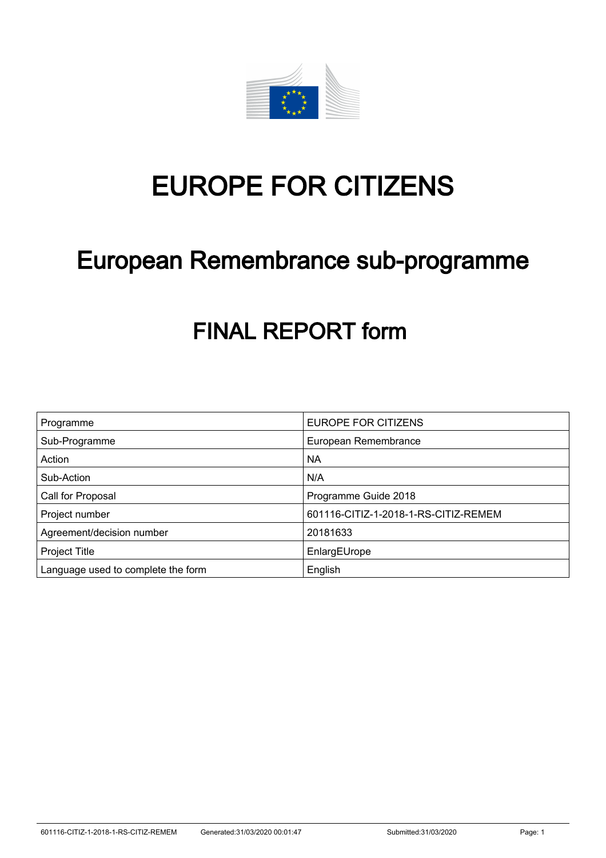

# EUROPE FOR CITIZENS

# European Remembrance sub-programme

# FINAL REPORT form

| Programme                          | <b>EUROPE FOR CITIZENS</b>           |
|------------------------------------|--------------------------------------|
| Sub-Programme                      | European Remembrance                 |
| Action                             | <b>NA</b>                            |
| Sub-Action                         | N/A                                  |
| Call for Proposal                  | Programme Guide 2018                 |
| Project number                     | 601116-CITIZ-1-2018-1-RS-CITIZ-REMEM |
| Agreement/decision number          | 20181633                             |
| <b>Project Title</b>               | EnlargEUrope                         |
| Language used to complete the form | English                              |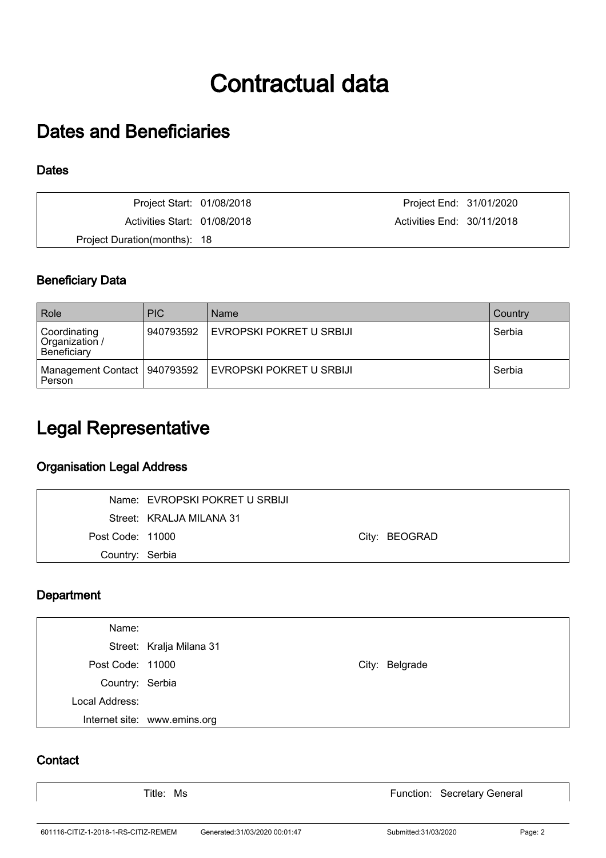# Contractual data

## Dates and Beneficiaries

### **Dates**

| Project Start: 01/08/2018    | Project End: 31/01/2020    |  |
|------------------------------|----------------------------|--|
| Activities Start: 01/08/2018 | Activities End: 30/11/2018 |  |
| Project Duration(months): 18 |                            |  |

## Beneficiary Data

| Role                                          | <b>PIC</b> | Name                     | Country |
|-----------------------------------------------|------------|--------------------------|---------|
| Coordinating<br>Organization /<br>Beneficiary | 940793592  | EVROPSKI POKRET U SRBIJI | Serbia  |
| Management Contact   940793592<br>Person      |            | EVROPSKI POKRET U SRBIJI | Serbia  |

## Legal Representative

## Organisation Legal Address

|                  | Name: EVROPSKI POKRET U SRBIJI |               |
|------------------|--------------------------------|---------------|
|                  | Street: KRALJA MILANA 31       |               |
| Post Code: 11000 |                                | City: BEOGRAD |
| Country: Serbia  |                                |               |

### **Department**

| Name:            |                              |                |
|------------------|------------------------------|----------------|
|                  | Street: Kralja Milana 31     |                |
| Post Code: 11000 |                              | City: Belgrade |
| Country: Serbia  |                              |                |
| Local Address:   |                              |                |
|                  | Internet site: www.emins.org |                |

### **Contact**

Title: Ms **Function: Secretary General**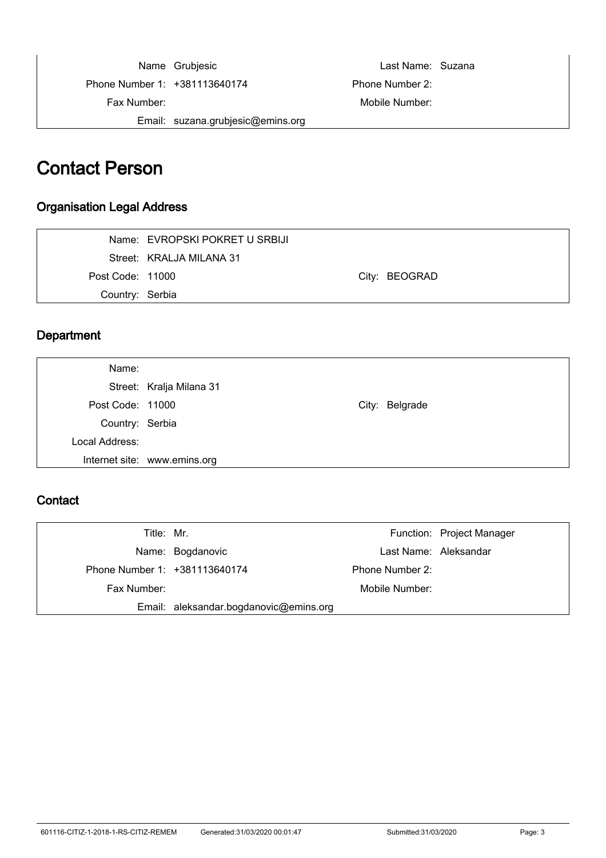Name Grubjesic **Name:** Suzana Phone Number 1: +381113640174 Phone Number 2: Fax Number: Mobile Number: Email: suzana.grubjesic@emins.org

## Contact Person

### Organisation Legal Address

|                  | Name: EVROPSKI POKRET U SRBIJI |               |
|------------------|--------------------------------|---------------|
|                  | Street: KRALJA MILANA 31       |               |
| Post Code: 11000 |                                | City: BEOGRAD |
| Country: Serbia  |                                |               |

### **Department**

| Name:            |                              |                |
|------------------|------------------------------|----------------|
|                  | Street: Kralja Milana 31     |                |
| Post Code: 11000 |                              | City: Belgrade |
| Country: Serbia  |                              |                |
| Local Address:   |                              |                |
|                  | Internet site: www.emins.org |                |

### **Contact**

| Title: Mr.                    |                                        |                 | Function: Project Manager |
|-------------------------------|----------------------------------------|-----------------|---------------------------|
|                               | Name: Bogdanovic                       |                 | Last Name: Aleksandar     |
| Phone Number 1: +381113640174 |                                        | Phone Number 2: |                           |
| Fax Number:                   |                                        | Mobile Number:  |                           |
|                               | Email: aleksandar.bogdanovic@emins.org |                 |                           |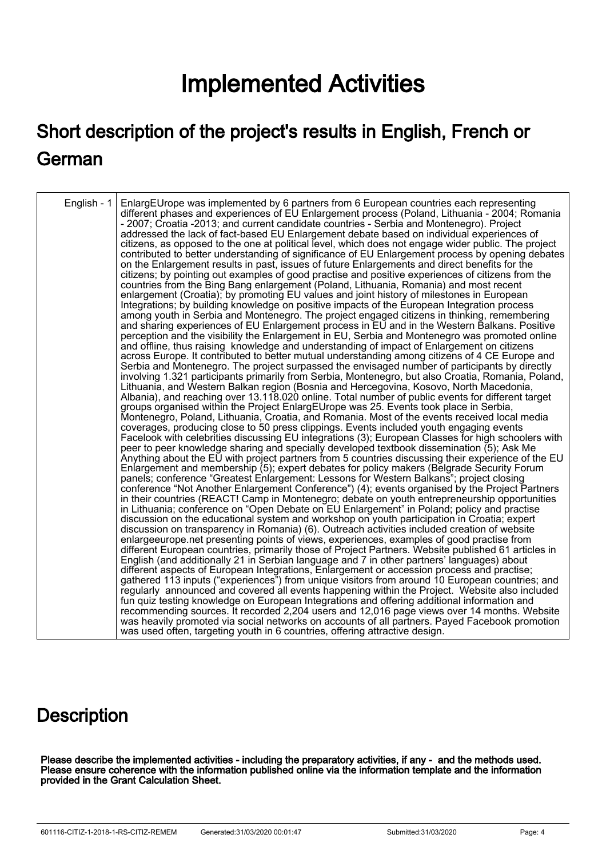# Implemented Activities

# Short description of the project's results in English, French or German

| English - 1 | EnlargEUrope was implemented by 6 partners from 6 European countries each representing<br>different phases and experiences of EU Enlargement process (Poland, Lithuania - 2004; Romania<br>- 2007; Croatia -2013; and current candidate countries - Serbia and Montenegro). Project<br>addressed the lack of fact-based EU Enlargement debate based on individual experiences of<br>citizens, as opposed to the one at political level, which does not engage wider public. The project<br>contributed to better understanding of significance of EU Enlargement process by opening debates<br>on the Enlargement results in past, issues of future Enlargements and direct benefits for the<br>citizens; by pointing out examples of good practise and positive experiences of citizens from the<br>countries from the Bing Bang enlargement (Poland, Lithuania, Romania) and most recent<br>enlargement (Croatia); by promoting EU values and joint history of milestones in European<br>Integrations; by building knowledge on positive impacts of the European Integration process<br>among youth in Serbia and Montenegro. The project engaged citizens in thinking, remembering<br>and sharing experiences of EU Enlargement process in EU and in the Western Balkans. Positive<br>perception and the visibility the Enlargement in EU, Serbia and Montenegro was promoted online<br>and offline, thus raising knowledge and understanding of impact of Enlargement on citizens<br>across Europe. It contributed to better mutual understanding among citizens of 4 CE Europe and<br>Serbia and Montenegro. The project surpassed the envisaged number of participants by directly<br>involving 1.321 participants primarily from Serbia, Montenegro, but also Croatia, Romania, Poland,<br>Lithuania, and Western Balkan region (Bosnia and Hercegovina, Kosovo, North Macedonia,<br>Albania), and reaching over 13.118.020 online. Total number of public events for different target<br>groups organised within the Project EnlargEUrope was 25. Events took place in Serbia,<br>Montenegro, Poland, Lithuania, Croatia, and Romania. Most of the events received local media<br>coverages, producing close to 50 press clippings. Events included youth engaging events<br>Facelook with celebrities discussing EU integrations (3); European Classes for high schoolers with<br>peer to peer knowledge sharing and specially developed textbook dissemination (5); Ask Me<br>Anything about the EU with project partners from 5 countries discussing their experience of the EU<br>Enlargement and membership (5); expert debates for policy makers (Belgrade Security Forum<br>panels; conference "Greatest Enlargement: Lessons for Western Balkans"; project closing<br>conference "Not Another Enlargement Conference") (4); events organised by the Project Partners<br>in their countries (REACT! Camp in Montenegro; debate on youth entrepreneurship opportunities<br>in Lithuania; conference on "Open Debate on EU Enlargement" in Poland; policy and practise<br>discussion on the educational system and workshop on youth participation in Croatia; expert<br>discussion on transparency in Romania) (6). Outreach activities included creation of website<br>enlargeeurope.net presenting points of views, experiences, examples of good practise from<br>different European countries, primarily those of Project Partners. Website published 61 articles in<br>English (and additionally 21 in Serbian language and 7 in other partners' languages) about<br>different aspects of European Integrations, Enlargement or accession process and practise;<br>gathered 113 inputs ("experiences") from unique visitors from around 10 European countries; and<br>regularly announced and covered all events happening within the Project. Website also included<br>fun quiz testing knowledge on European Integrations and offering additional information and<br>recommending sources. It recorded 2,204 users and 12,016 page views over 14 months. Website |
|-------------|---------------------------------------------------------------------------------------------------------------------------------------------------------------------------------------------------------------------------------------------------------------------------------------------------------------------------------------------------------------------------------------------------------------------------------------------------------------------------------------------------------------------------------------------------------------------------------------------------------------------------------------------------------------------------------------------------------------------------------------------------------------------------------------------------------------------------------------------------------------------------------------------------------------------------------------------------------------------------------------------------------------------------------------------------------------------------------------------------------------------------------------------------------------------------------------------------------------------------------------------------------------------------------------------------------------------------------------------------------------------------------------------------------------------------------------------------------------------------------------------------------------------------------------------------------------------------------------------------------------------------------------------------------------------------------------------------------------------------------------------------------------------------------------------------------------------------------------------------------------------------------------------------------------------------------------------------------------------------------------------------------------------------------------------------------------------------------------------------------------------------------------------------------------------------------------------------------------------------------------------------------------------------------------------------------------------------------------------------------------------------------------------------------------------------------------------------------------------------------------------------------------------------------------------------------------------------------------------------------------------------------------------------------------------------------------------------------------------------------------------------------------------------------------------------------------------------------------------------------------------------------------------------------------------------------------------------------------------------------------------------------------------------------------------------------------------------------------------------------------------------------------------------------------------------------------------------------------------------------------------------------------------------------------------------------------------------------------------------------------------------------------------------------------------------------------------------------------------------------------------------------------------------------------------------------------------------------------------------------------------------------------------------------------------------------------------------------------------------------------------------------------------------------------------------------------------------------------------------------------------------------------------------------------------------------------------------------------------------------------------------------------------------------------------------------------------------------------|
|             | was heavily promoted via social networks on accounts of all partners. Payed Facebook promotion<br>was used often, targeting youth in 6 countries, offering attractive design.                                                                                                                                                                                                                                                                                                                                                                                                                                                                                                                                                                                                                                                                                                                                                                                                                                                                                                                                                                                                                                                                                                                                                                                                                                                                                                                                                                                                                                                                                                                                                                                                                                                                                                                                                                                                                                                                                                                                                                                                                                                                                                                                                                                                                                                                                                                                                                                                                                                                                                                                                                                                                                                                                                                                                                                                                                                                                                                                                                                                                                                                                                                                                                                                                                                                                                                                                                                                                                                                                                                                                                                                                                                                                                                                                                                                                                                                                                         |

## **Description**

Please describe the implemented activities - including the preparatory activities, if any - and the methods used. Please ensure coherence with the information published online via the information template and the information provided in the Grant Calculation Sheet.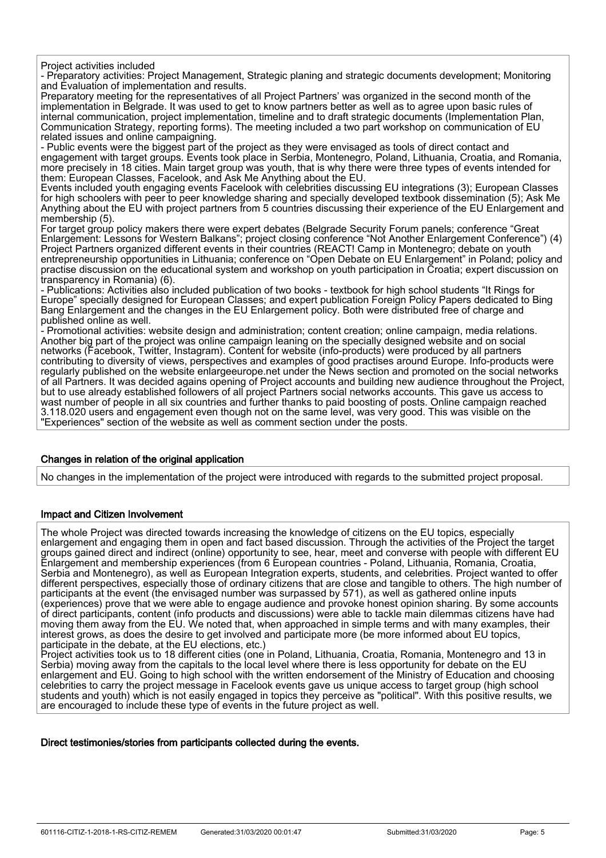Project activities included

- Preparatory activities: Project Management, Strategic planing and strategic documents development; Monitoring and Evaluation of implementation and results.

Preparatory meeting for the representatives of all Project Partners' was organized in the second month of the implementation in Belgrade. It was used to get to know partners better as well as to agree upon basic rules of internal communication, project implementation, timeline and to draft strategic documents (Implementation Plan, Communication Strategy, reporting forms). The meeting included a two part workshop on communication of EU related issues and online campaigning.

- Public events were the biggest part of the project as they were envisaged as tools of direct contact and engagement with target groups. Events took place in Serbia, Montenegro, Poland, Lithuania, Croatia, and Romania, more precisely in 18 cities. Main target group was youth, that is why there were three types of events intended for them: European Classes, Facelook, and Ask Me Anything about the EU.

Events included youth engaging events Facelook with celebrities discussing EU integrations (3); European Classes for high schoolers with peer to peer knowledge sharing and specially developed textbook dissemination (5); Ask Me Anything about the EU with project partners from 5 countries discussing their experience of the EU Enlargement and membership (5).

For target group policy makers there were expert debates (Belgrade Security Forum panels; conference "Great Enlargement: Lessons for Western Balkans"; project closing conference "Not Another Enlargement Conference") (4) Project Partners organized different events in their countries (REACT! Camp in Montenegro; debate on youth entrepreneurship opportunities in Lithuania; conference on "Open Debate on EU Enlargement" in Poland; policy and practise discussion on the educational system and workshop on youth participation in Croatia; expert discussion on transparency in Romania) (6).

- Publications: Activities also included publication of two books - textbook for high school students "It Rings for Europe" specially designed for European Classes; and expert publication Foreign Policy Papers dedicated to Bing Bang Enlargement and the changes in the EU Enlargement policy. Both were distributed free of charge and published online as well.

- Promotional activities: website design and administration; content creation; online campaign, media relations. Another big part of the project was online campaign leaning on the specially designed website and on social networks (Facebook, Twitter, Instagram). Content for website (info-products) were produced by all partners contributing to diversity of views, perspectives and examples of good practises around Europe. Info-products were regularly published on the website enlargeeurope.net under the News section and promoted on the social networks of all Partners. It was decided agains opening of Project accounts and building new audience throughout the Project, but to use already established followers of all project Partners social networks accounts. This gave us access to wast number of people in all six countries and further thanks to paid boosting of posts. Online campaign reached 3.118.020 users and engagement even though not on the same level, was very good. This was visible on the "Experiences" section of the website as well as comment section under the posts.

#### Changes in relation of the original application

No changes in the implementation of the project were introduced with regards to the submitted project proposal.

#### Impact and Citizen Involvement

The whole Project was directed towards increasing the knowledge of citizens on the EU topics, especially enlargement and engaging them in open and fact based discussion. Through the activities of the Project the target groups gained direct and indirect (online) opportunity to see, hear, meet and converse with people with different EU Enlargement and membership experiences (from 6 European countries - Poland, Lithuania, Romania, Croatia, Serbia and Montenegro), as well as European Integration experts, students, and celebrities. Project wanted to offer different perspectives, especially those of ordinary citizens that are close and tangible to others. The high number of participants at the event (the envisaged number was surpassed by 571), as well as gathered online inputs (experiences) prove that we were able to engage audience and provoke honest opinion sharing. By some accounts of direct participants, content (info products and discussions) were able to tackle main dilemmas citizens have had moving them away from the EU. We noted that, when approached in simple terms and with many examples, their interest grows, as does the desire to get involved and participate more (be more informed about EU topics, participate in the debate, at the EU elections, etc.)

Project activities took us to 18 different cities (one in Poland, Lithuania, Croatia, Romania, Montenegro and 13 in Serbia) moving away from the capitals to the local level where there is less opportunity for debate on the EU enlargement and EU. Going to high school with the written endorsement of the Ministry of Education and choosing celebrities to carry the project message in Facelook events gave us unique access to target group (high school students and youth) which is not easily engaged in topics they perceive as "political". With this positive results, we are encouraged to include these type of events in the future project as well.

#### Direct testimonies/stories from participants collected during the events.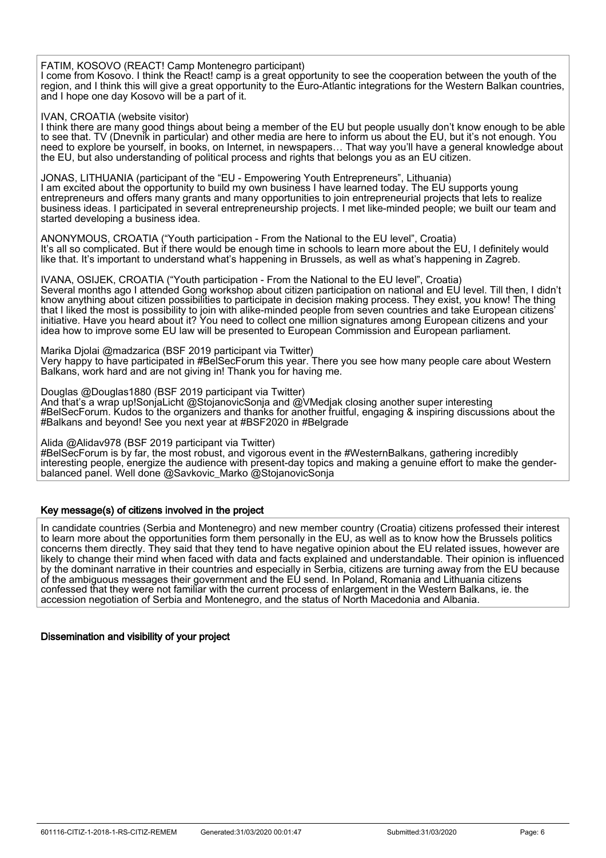#### FATIM, KOSOVO (REACT! Camp Montenegro participant)

I come from Kosovo. I think the React! camp is a great opportunity to see the cooperation between the youth of the region, and I think this will give a great opportunity to the Euro-Atlantic integrations for the Western Balkan countries, and I hope one day Kosovo will be a part of it.

#### IVAN, CROATIA (website visitor)

I think there are many good things about being a member of the EU but people usually don't know enough to be able to see that. TV (Dnevnik in particular) and other media are here to inform us about the EU, but it's not enough. You need to explore be yourself, in books, on Internet, in newspapers… That way you'll have a general knowledge about the EU, but also understanding of political process and rights that belongs you as an EU citizen.

JONAS, LITHUANIA (participant of the "EU - Empowering Youth Entrepreneurs", Lithuania)

I am excited about the opportunity to build my own business I have learned today. The EU supports young entrepreneurs and offers many grants and many opportunities to join entrepreneurial projects that lets to realize business ideas. I participated in several entrepreneurship projects. I met like-minded people; we built our team and started developing a business idea.

ANONYMOUS, CROATIA ("Youth participation - From the National to the EU level", Croatia) It's all so complicated. But if there would be enough time in schools to learn more about the EU, I definitely would like that. It's important to understand what's happening in Brussels, as well as what's happening in Zagreb.

IVANA, OSIJEK, CROATIA ("Youth participation - From the National to the EU level", Croatia) Several months ago I attended Gong workshop about citizen participation on national and EU level. Till then, I didn't know anything about citizen possibilities to participate in decision making process. They exist, you know! The thing that I liked the most is possibility to join with alike-minded people from seven countries and take European citizens' initiative. Have you heard about it? You need to collect one million signatures among European citizens and your idea how to improve some EU law will be presented to European Commission and European parliament.

Marika Djolai @madzarica (BSF 2019 participant via Twitter) Very happy to have participated in #BelSecForum this year. There you see how many people care about Western Balkans, work hard and are not giving in! Thank you for having me.

Douglas @Douglas1880 (BSF 2019 participant via Twitter) And that's a wrap up!SonjaLicht @StojanovicSonja and @VMedjak closing another super interesting #BelSecForum. Kudos to the organizers and thanks for another fruitful, engaging & inspiring discussions about the #Balkans and beyond! See you next year at #BSF2020 in #Belgrade

Alida @Alidav978 (BSF 2019 participant via Twitter) #BelSecForum is by far, the most robust, and vigorous event in the #WesternBalkans, gathering incredibly interesting people, energize the audience with present-day topics and making a genuine effort to make the genderbalanced panel. Well done @Savkovic\_Marko @StojanovicSonja

#### Key message(s) of citizens involved in the project

In candidate countries (Serbia and Montenegro) and new member country (Croatia) citizens professed their interest to learn more about the opportunities form them personally in the EU, as well as to know how the Brussels politics concerns them directly. They said that they tend to have negative opinion about the EU related issues, however are likely to change their mind when faced with data and facts explained and understandable. Their opinion is influenced by the dominant narrative in their countries and especially in Serbia, citizens are turning away from the EU because of the ambiguous messages their government and the EU send. In Poland, Romania and Lithuania citizens confessed that they were not familiar with the current process of enlargement in the Western Balkans, ie. the accession negotiation of Serbia and Montenegro, and the status of North Macedonia and Albania.

#### Dissemination and visibility of your project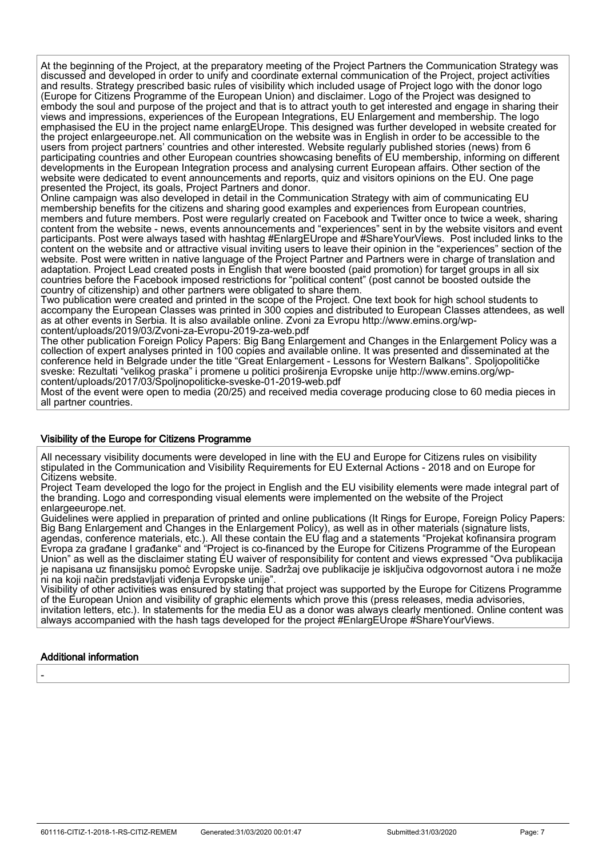At the beginning of the Project, at the preparatory meeting of the Project Partners the Communication Strategy was discussed and developed in order to unify and coordinate external communication of the Project, project activities and results. Strategy prescribed basic rules of visibility which included usage of Project logo with the donor logo (Europe for Citizens Programme of the European Union) and disclaimer. Logo of the Project was designed to embody the soul and purpose of the project and that is to attract youth to get interested and engage in sharing their views and impressions, experiences of the European Integrations, EU Enlargement and membership. The logo emphasised the EU in the project name enlargEUrope. This designed was further developed in website created for the project enlargeeurope.net. All communication on the website was in English in order to be accessible to the users from project partners' countries and other interested. Website regularly published stories (news) from 6 participating countries and other European countries showcasing benefits of EU membership, informing on different developments in the European Integration process and analysing current European affairs. Other section of the website were dedicated to event announcements and reports, quiz and visitors opinions on the EU. One page presented the Project, its goals, Project Partners and donor.

Online campaign was also developed in detail in the Communication Strategy with aim of communicating EU membership benefits for the citizens and sharing good examples and experiences from European countries, members and future members. Post were regularly created on Facebook and Twitter once to twice a week, sharing content from the website - news, events announcements and "experiences" sent in by the website visitors and event participants. Post were always tased with hashtag #EnlargEUrope and #ShareYourViews. Post included links to the content on the website and or attractive visual inviting users to leave their opinion in the "experiences" section of the website. Post were written in native language of the Project Partner and Partners were in charge of translation and adaptation. Project Lead created posts in English that were boosted (paid promotion) for target groups in all six countries before the Facebook imposed restrictions for "political content" (post cannot be boosted outside the country of citizenship) and other partners were obligated to share them.

Two publication were created and printed in the scope of the Project. One text book for high school students to accompany the European Classes was printed in 300 copies and distributed to European Classes attendees, as well as at other events in Serbia. It is also available online. Zvoni za Evropu http://www.emins.org/wpcontent/uploads/2019/03/Zvoni-za-Evropu-2019-za-web.pdf

The other publication Foreign Policy Papers: Big Bang Enlargement and Changes in the Enlargement Policy was a collection of expert analyses printed in 100 copies and available online. It was presented and disseminated at the conference held in Belgrade under the title "Great Enlargement - Lessons for Western Balkans". Spoljopolitičke sveske: Rezultati "velikog praska" i promene u politici proširenja Evropske unije http://www.emins.org/wpcontent/uploads/2017/03/Spoljnopoliticke-sveske-01-2019-web.pdf

Most of the event were open to media (20/25) and received media coverage producing close to 60 media pieces in all partner countries.

#### Visibility of the Europe for Citizens Programme

All necessary visibility documents were developed in line with the EU and Europe for Citizens rules on visibility stipulated in the Communication and Visibility Requirements for EU External Actions - 2018 and on Europe for Citizens website.

Project Team developed the logo for the project in English and the EU visibility elements were made integral part of the branding. Logo and corresponding visual elements were implemented on the website of the Project enlargeeurope.net.

Guidelines were applied in preparation of printed and online publications (It Rings for Europe, Foreign Policy Papers: Big Bang Enlargement and Changes in the Enlargement Policy), as well as in other materials (signature lists, agendas, conference materials, etc.). All these contain the EU flag and a statements "Projekat kofinansira program Evropa za građane I građanke" and "Project is co-financed by the Еurope for Citizens Programme of the European Union" as well as the disclaimer stating EU waiver of responsibility for content and views expressed "Ova publikacija je napisana uz finansijsku pomoć Evropske unije. Sadržaj ove publikacije je isključiva odgovornost autora i ne može ni na koji način predstavljati viđenja Evropske unije".

Visibility of other activities was ensured by stating that project was supported by the Europe for Citizens Programme of the European Union and visibility of graphic elements which prove this (press releases, media advisories, invitation letters, etc.). In statements for the media EU as a donor was always clearly mentioned. Online content was always accompanied with the hash tags developed for the project #EnlargEUrope #ShareYourViews.

#### Additional information

-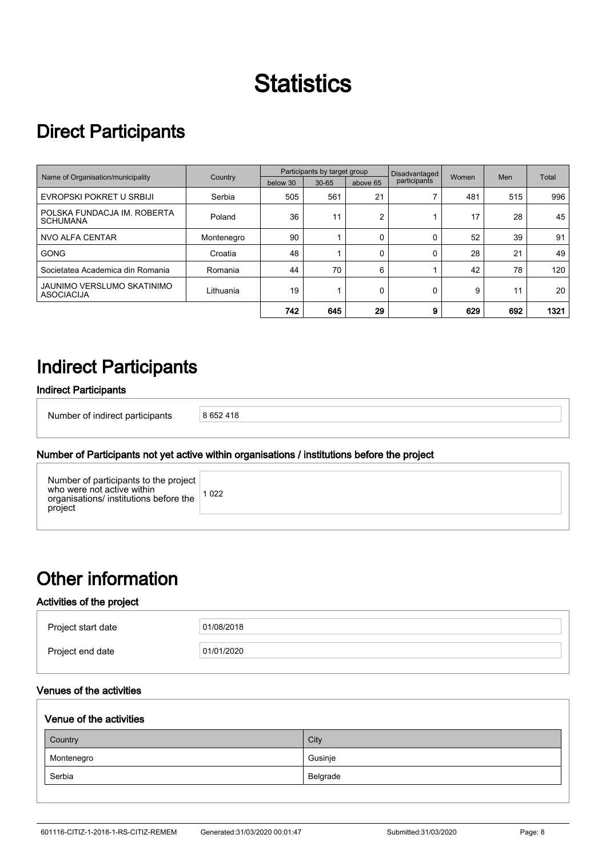# **Statistics**

# Direct Participants

|                                                 |            | Participants by target group |           |          | Disadvantaged |       |     |       |
|-------------------------------------------------|------------|------------------------------|-----------|----------|---------------|-------|-----|-------|
| Name of Organisation/municipality               | Country    | below 30                     | $30 - 65$ | above 65 | participants  | Women | Men | Total |
| EVROPSKI POKRET U SRBIJI                        | Serbia     | 505                          | 561       | 21       |               | 481   | 515 | 996   |
| POLSKA FUNDACJA IM. ROBERTA<br><b>SCHUMANA</b>  | Poland     | 36                           | 11        | 2        |               | 17    | 28  | 45    |
| <b>NVO ALFA CENTAR</b>                          | Montenegro | 90                           |           | 0        |               | 52    | 39  | 91    |
| <b>GONG</b>                                     | Croatia    | 48                           |           | 0        |               | 28    | 21  | 49    |
| Societatea Academica din Romania                | Romania    | 44                           | 70        | 6        |               | 42    | 78  | 120   |
| JAUNIMO VERSLUMO SKATINIMO<br><b>ASOCIACIJA</b> | Lithuania  | 19                           |           | 0        |               | 9     | 11  | 20    |
|                                                 |            | 742                          | 645       | 29       | 9             | 629   | 692 | 1321  |

## Indirect Participants

## Indirect Participants

İ

İ

Number of indirect participants 8 652 418

## Number of Participants not yet active within organisations / institutions before the project

| Number of participants to the project<br>who were not active within<br>organisations/ institutions before the<br>project | 1022 |
|--------------------------------------------------------------------------------------------------------------------------|------|
|                                                                                                                          |      |

# Other information

## Activities of the project

| Project start date | 01/08/2018 |
|--------------------|------------|
| Project end date   | 01/01/2020 |

## Venues of the activities

| Venue of the activities |  |  |  |
|-------------------------|--|--|--|
| City                    |  |  |  |
| Gusinje                 |  |  |  |
| Belgrade                |  |  |  |
|                         |  |  |  |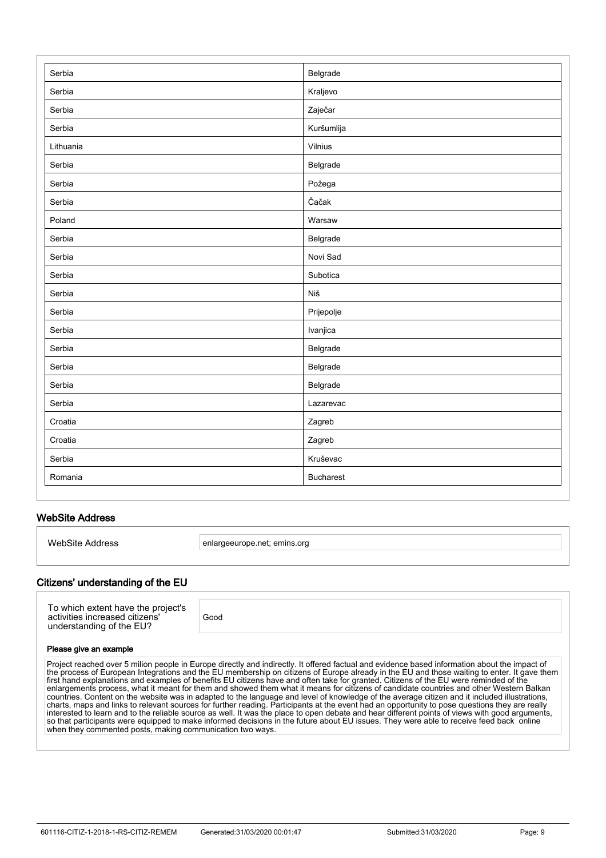| Serbia    | Belgrade         |
|-----------|------------------|
| Serbia    | Kraljevo         |
| Serbia    | Zaječar          |
| Serbia    | Kuršumlija       |
| Lithuania | Vilnius          |
| Serbia    | Belgrade         |
| Serbia    | Požega           |
| Serbia    | Čačak            |
| Poland    | Warsaw           |
| Serbia    | Belgrade         |
| Serbia    | Novi Sad         |
| Serbia    | Subotica         |
| Serbia    | Niš              |
| Serbia    | Prijepolje       |
| Serbia    | Ivanjica         |
| Serbia    | Belgrade         |
| Serbia    | Belgrade         |
| Serbia    | Belgrade         |
| Serbia    | Lazarevac        |
| Croatia   | Zagreb           |
| Croatia   | Zagreb           |
| Serbia    | Kruševac         |
| Romania   | <b>Bucharest</b> |

## WebSite Address

İ

İ

WebSite Address enlargeeurope.net; emins.org

#### Citizens' understanding of the EU

| To which extent have the project's<br>activities increased citizens'<br>understanding of the EU? | Good |
|--------------------------------------------------------------------------------------------------|------|
|--------------------------------------------------------------------------------------------------|------|

#### Please give an example

Project reached over 5 milion people in Europe directly and indirectly. It offered factual and evidence based information about the impact of the process of European Integrations and the EU membership on citizens of Europe already in the EU and those waiting to enter. It gave them first hand explanations and examples of benefits EU citizens have and often take for granted. Citizens of the EU were reminded of the enlargements process, what it meant for them and showed them what it means for citizens of candidate countries and other Western Balkan countries. Content on the website was in adapted to the language and level of knowledge of the average citizen and it included illustrations, charts, maps and links to relevant sources for further reading. Participants at the event had an opportunity to pose questions they are really interested to learn and to the reliable source as well. It was the place to open debate and hear different points of views with good arguments, so that participants were equipped to make informed decisions in the future about EU issues. They were able to receive feed back online when they commented posts, making communication two ways.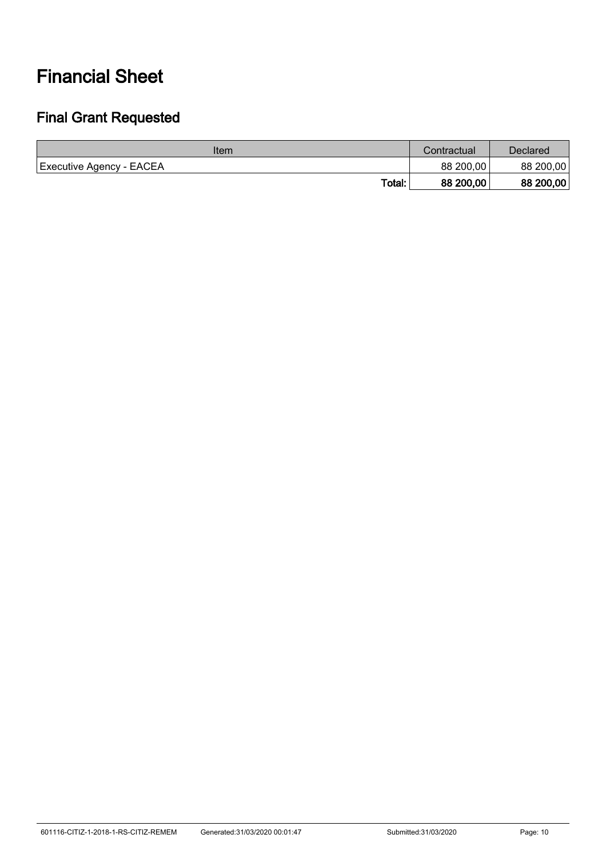# Financial Sheet

## Final Grant Requested

| Item                     | Contractual | Declared <sup>:</sup> |
|--------------------------|-------------|-----------------------|
| Executive Agency - EACEA | 88 200,00   | 88 200,00             |
| Total:                   | 88 200,00   | 88 200,00             |